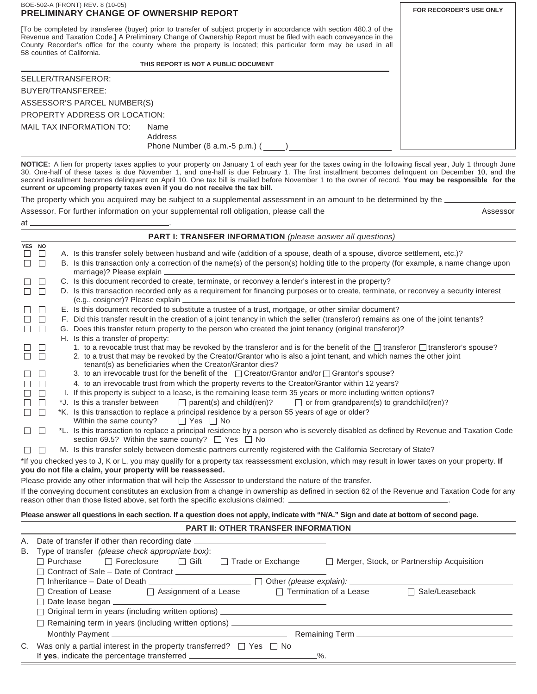| BOE-502-A (FRONT) REV. 8 (10-05)<br><b>PRELIMINARY CHANGE OF OWNERSHIP REPORT</b>                                                                                                                                                                                                                                                                                                      | <b>FOR RECORDER'S USE ONLY</b>                        |  |
|----------------------------------------------------------------------------------------------------------------------------------------------------------------------------------------------------------------------------------------------------------------------------------------------------------------------------------------------------------------------------------------|-------------------------------------------------------|--|
| [To be completed by transferee (buyer) prior to transfer of subject property in accordance with section 480.3 of the<br>Revenue and Taxation Code.] A Preliminary Change of Ownership Report must be filed with each conveyance in the<br>County Recorder's office for the county where the property is located; this particular form may be used in all<br>58 counties of California. |                                                       |  |
| THIS REPORT IS NOT A PUBLIC DOCUMENT                                                                                                                                                                                                                                                                                                                                                   |                                                       |  |
| SELLER/TRANSFEROR:                                                                                                                                                                                                                                                                                                                                                                     |                                                       |  |
| BUYER/TRANSFEREE:                                                                                                                                                                                                                                                                                                                                                                      |                                                       |  |
| ASSESSOR'S PARCEL NUMBER(S)                                                                                                                                                                                                                                                                                                                                                            |                                                       |  |
| <b>PROPERTY ADDRESS OR LOCATION:</b>                                                                                                                                                                                                                                                                                                                                                   |                                                       |  |
| MAIL TAX INFORMATION TO:                                                                                                                                                                                                                                                                                                                                                               | Name<br>Address<br>Phone Number $(8 a.m.-5 p.m.)$ $($ |  |

**NOTICE:** A lien for property taxes applies to your property on January 1 of each year for the taxes owing in the following fiscal year, July 1 through June 30. One-half of these taxes is due November 1, and one-half is due February 1. The first installment becomes delinquent on December 10, and the second installment becomes delinquent on April 10. One tax bill is mailed before November 1 to the owner of record. **You may be responsible for the current or upcoming property taxes even if you do not receive the tax bill.**

The property which you acquired may be subject to a supplemental assessment in an amount to be determined by the

Assessor. For further information on your supplemental roll obligation, please call the **Assessor** Assessor at .

| <b>PART I: TRANSFER INFORMATION</b> (please answer all questions) |                                                                                                                                                                                                                                                                                                                                                                    |                                                                                                                                                                                                                                                                                                                                |                                                                                                                                                                                                                                                                                                                                                                                                 |  |  |  |
|-------------------------------------------------------------------|--------------------------------------------------------------------------------------------------------------------------------------------------------------------------------------------------------------------------------------------------------------------------------------------------------------------------------------------------------------------|--------------------------------------------------------------------------------------------------------------------------------------------------------------------------------------------------------------------------------------------------------------------------------------------------------------------------------|-------------------------------------------------------------------------------------------------------------------------------------------------------------------------------------------------------------------------------------------------------------------------------------------------------------------------------------------------------------------------------------------------|--|--|--|
| YES NO<br>□                                                       | $\vert \ \ \vert$<br>$\Box$                                                                                                                                                                                                                                                                                                                                        |                                                                                                                                                                                                                                                                                                                                | A. Is this transfer solely between husband and wife (addition of a spouse, death of a spouse, divorce settlement, etc.)?<br>B. Is this transaction only a correction of the name(s) of the person(s) holding title to the property (for example, a name change upon<br>marriage)? Please explain ____________                                                                                   |  |  |  |
| $\perp$                                                           | $\Box$<br>П                                                                                                                                                                                                                                                                                                                                                        |                                                                                                                                                                                                                                                                                                                                | C. Is this document recorded to create, terminate, or reconvey a lender's interest in the property?<br>D. Is this transaction recorded only as a requirement for financing purposes or to create, terminate, or reconvey a security interest                                                                                                                                                    |  |  |  |
| □                                                                 | П<br>$\Box$<br>$\Box$                                                                                                                                                                                                                                                                                                                                              |                                                                                                                                                                                                                                                                                                                                | E. Is this document recorded to substitute a trustee of a trust, mortgage, or other similar document?<br>F. Did this transfer result in the creation of a joint tenancy in which the seller (transferor) remains as one of the joint tenants?<br>G. Does this transfer return property to the person who created the joint tenancy (original transferor)?<br>H. Is this a transfer of property: |  |  |  |
| $\Box$                                                            | П                                                                                                                                                                                                                                                                                                                                                                  | 1. to a revocable trust that may be revoked by the transferor and is for the benefit of the $\Box$ transferor $\Box$ transferor's spouse?<br>2. to a trust that may be revoked by the Creator/Grantor who is also a joint tenant, and which names the other joint<br>tenant(s) as beneficiaries when the Creator/Grantor dies? |                                                                                                                                                                                                                                                                                                                                                                                                 |  |  |  |
| $\Box$<br>$\mathsf{L}$                                            | 3. to an irrevocable trust for the benefit of the $\Box$ Creator/Grantor and/or $\Box$ Grantor's spouse?<br>$\Box$<br>4. to an irrevocable trust from which the property reverts to the Creator/Grantor within 12 years?<br>$\Box$<br>I. If this property is subject to a lease, is the remaining lease term 35 years or more including written options?<br>$\Box$ |                                                                                                                                                                                                                                                                                                                                |                                                                                                                                                                                                                                                                                                                                                                                                 |  |  |  |
| ш<br>$\Box$                                                       | *J. Is this a transfer between<br>$\Box$ parent(s) and child(ren)?<br>$\Box$ or from grandparent(s) to grandchild(ren)?<br>$\Box$<br>*K. Is this transaction to replace a principal residence by a person 55 years of age or older?<br>$\Box$<br>Within the same county?<br>$\Box$ Yes $\Box$ No                                                                   |                                                                                                                                                                                                                                                                                                                                |                                                                                                                                                                                                                                                                                                                                                                                                 |  |  |  |
| ⊔<br>$\Box$                                                       | $\Box$<br>$\Box$                                                                                                                                                                                                                                                                                                                                                   | *L. Is this transaction to replace a principal residence by a person who is severely disabled as defined by Revenue and Taxation Code<br>section 69.5? Within the same county? □ Yes □ No<br>M. Is this transfer solely between domestic partners currently registered with the California Secretary of State?                 |                                                                                                                                                                                                                                                                                                                                                                                                 |  |  |  |
|                                                                   |                                                                                                                                                                                                                                                                                                                                                                    |                                                                                                                                                                                                                                                                                                                                | *If you checked yes to J, K or L, you may qualify for a property tax reassessment exclusion, which may result in lower taxes on your property. If<br>you do not file a claim, your property will be reassessed.                                                                                                                                                                                 |  |  |  |
|                                                                   |                                                                                                                                                                                                                                                                                                                                                                    |                                                                                                                                                                                                                                                                                                                                | Please provide any other information that will help the Assessor to understand the nature of the transfer.<br>If the conveying document constitutes an exclusion from a change in ownership as defined in section 62 of the Revenue and Taxation Code for any<br>reason other than those listed above, set forth the specific exclusions claimed: _____________________________                 |  |  |  |
|                                                                   |                                                                                                                                                                                                                                                                                                                                                                    |                                                                                                                                                                                                                                                                                                                                | Please answer all questions in each section. If a question does not apply, indicate with "N/A." Sign and date at bottom of second page.                                                                                                                                                                                                                                                         |  |  |  |
|                                                                   |                                                                                                                                                                                                                                                                                                                                                                    |                                                                                                                                                                                                                                                                                                                                | <b>PART II: OTHER TRANSFER INFORMATION</b>                                                                                                                                                                                                                                                                                                                                                      |  |  |  |
| А.                                                                | $\Box$ Purchase                                                                                                                                                                                                                                                                                                                                                    |                                                                                                                                                                                                                                                                                                                                | Date of transfer if other than recording date __________________________________<br>B. Type of transfer (please check appropriate box):<br>$\Box$ Foreclosure<br>$\Box$ Gift $\Box$ Trade or Exchange<br>□ Merger, Stock, or Partnership Acquisition<br>Contract of Sale - Date of Contract ________________<br>$\Box$ Inheritance – Date of Death $\Box$                                       |  |  |  |
|                                                                   |                                                                                                                                                                                                                                                                                                                                                                    |                                                                                                                                                                                                                                                                                                                                | □ Sale/Leaseback<br>□ Termination of a Lease<br>□ Creation of Lease<br>$\Box$ Assignment of a Lease<br>$\Box$ Date lease began $\Box$<br>Remaining term in years (including written options) ____________________________<br><u> 1980 - Andrea Andrew Maria (h. 1980).</u>                                                                                                                      |  |  |  |
|                                                                   |                                                                                                                                                                                                                                                                                                                                                                    |                                                                                                                                                                                                                                                                                                                                |                                                                                                                                                                                                                                                                                                                                                                                                 |  |  |  |
|                                                                   |                                                                                                                                                                                                                                                                                                                                                                    |                                                                                                                                                                                                                                                                                                                                | C. Was only a partial interest in the property transferred? $\Box$ Yes $\Box$ No<br>−%.                                                                                                                                                                                                                                                                                                         |  |  |  |